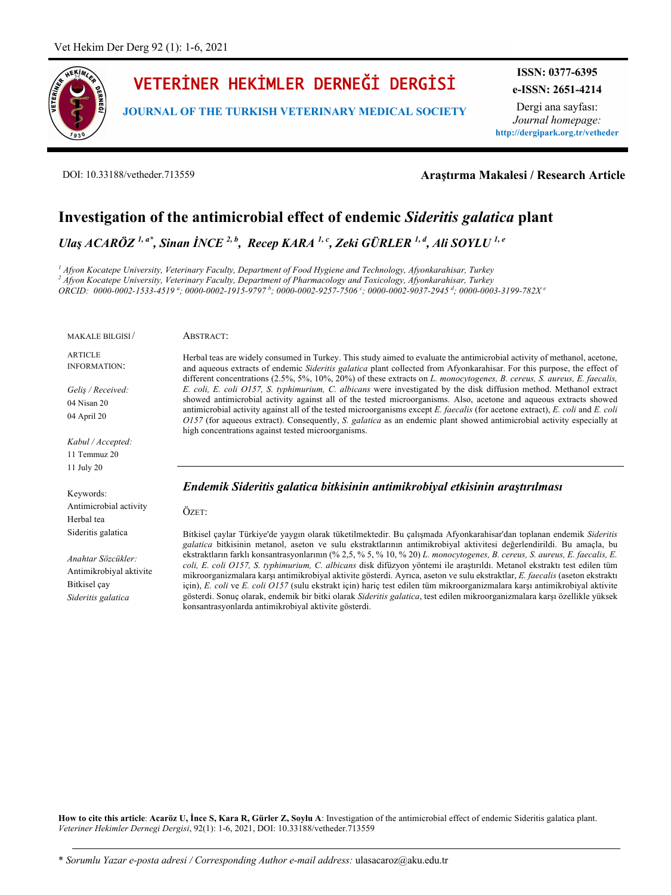

# VETERİNER HEKİMLER DERNEĞİ DERGİSİ

**JOURNAL OF THE TURKISH VETERINARY MEDICAL SOCIETY**

**ISSN: 0377-6395 e-ISSN: 2651-4214**

Dergi ana sayfası: *Journal homepage:* **http://dergipark.org.tr/vetheder**

DOI: 10.33188/vetheder.713559

**Araştırma Makalesi / Research Article**

# **Investigation of the antimicrobial effect of endemic** *Sideritis galatica* **plant**

*Ulaş ACARÖZ 1, a\* , Sinan İNCE 2, <sup>b</sup> , Recep KARA 1, <sup>c</sup> , Zeki GÜRLER 1, <sup>d</sup> , Ali SOYLU 1, <sup>e</sup>*

*<sup>1</sup> Afyon Kocatepe University, Veterinary Faculty, Department of Food Hygiene and Technology, Afyonkarahisar, Turkey <sup>2</sup> Afyon Kocatepe University, Veterinary Faculty, Department of Pharmacology and Toxicology, Afyonkarahisar, Turkey ORCID: 0000-0002-1533-4519 <sup>a</sup> ; 0000-0002-1915-9797 <sup>b</sup> ; 0000-0002-9257-7506 <sup>c</sup> ; 0000-0002-9037-2945 <sup>d</sup> ; 0000-0003-3199-782X <sup>e</sup>*

MAKALE BİLGİSİ /

ARTICLE INFORMATION:

*Geliş / Received:* 04 Nisan 20 04 April 20

*Kabul / Accepted:*  11 Temmuz 20 11 July 20

Keywords: Antimicrobial activity Herbal tea Sideritis galatica

*Anahtar Sözcükler:* Antimikrobiyal aktivite Bitkisel çay *Sideritis galatica*

ABSTRACT:

Herbal teas are widely consumed in Turkey. This study aimed to evaluate the antimicrobial activity of methanol, acetone, and aqueous extracts of endemic *Sideritis galatica* plant collected from Afyonkarahisar. For this purpose, the effect of different concentrations (2.5%, 5%, 10%, 20%) of these extracts on *L. monocytogenes, B. cereus, S. aureus, E. faecalis, E. coli, E. coli O157, S. typhimurium, C. albicans* were investigated by the disk diffusion method. Methanol extract showed antimicrobial activity against all of the tested microorganisms. Also, acetone and aqueous extracts showed antimicrobial activity against all of the tested microorganisms except *E. faecalis* (for acetone extract), *E. coli* and *E. coli O157* (for aqueous extract). Consequently, *S. galatica* as an endemic plant showed antimicrobial activity especially at high concentrations against tested microorganisms.

# *Endemik Sideritis galatica bitkisinin antimikrobiyal etkisinin araştırılması*

ÖZET:

Bitkisel çaylar Türkiye'de yaygın olarak tüketilmektedir. Bu çalışmada Afyonkarahisar'dan toplanan endemik *Sideritis galatica* bitkisinin metanol, aseton ve sulu ekstraktlarının antimikrobiyal aktivitesi değerlendirildi. Bu amaçla, bu ekstraktların farklı konsantrasyonlarının (% 2,5, % 5, % 10, % 20) *L. monocytogenes, B. cereus, S. aureus, E. faecalis, E. coli, E. coli O157, S. typhimurium, C. albicans* disk difüzyon yöntemi ile araştırıldı. Metanol ekstraktı test edilen tüm mikroorganizmalara karşı antimikrobiyal aktivite gösterdi. Ayrıca, aseton ve sulu ekstraktlar, *E. faecalis* (aseton ekstraktı için), *E. coli* ve *E. coli O157* (sulu ekstrakt için) hariç test edilen tüm mikroorganizmalara karşı antimikrobiyal aktivite gösterdi. Sonuç olarak, endemik bir bitki olarak *Sideritis galatica*, test edilen mikroorganizmalara karşı özellikle yüksek konsantrasyonlarda antimikrobiyal aktivite gösterdi.

**How to cite this article**: **Acaröz U, İnce S, Kara R, Gürler Z, Soylu A**: Investigation of the antimicrobial effect of endemic Sideritis galatica plant. *Veteriner Hekimler Dernegi Dergisi*, 92(1): 1-6, 2021, DOI: 10.33188/vetheder.713559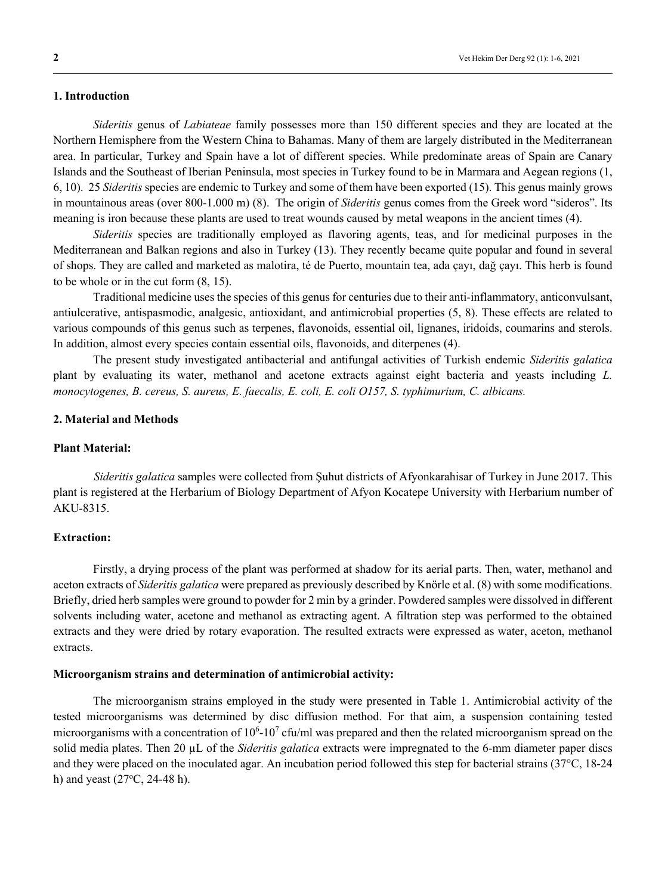# **1. Introduction**

*Sideritis* genus of *Labiateae* family possesses more than 150 different species and they are located at the Northern Hemisphere from the Western China to Bahamas. Many of them are largely distributed in the Mediterranean area. In particular, Turkey and Spain have a lot of different species. While predominate areas of Spain are Canary Islands and the Southeast of Iberian Peninsula, most species in Turkey found to be in Marmara and Aegean regions (1, 6, 10). 25 *Sideritis* species are endemic to Turkey and some of them have been exported (15). This genus mainly grows in mountainous areas (over 800-1.000 m) (8). The origin of *Sideritis* genus comes from the Greek word "sideros". Its meaning is iron because these plants are used to treat wounds caused by metal weapons in the ancient times (4).

*Sideritis* species are traditionally employed as flavoring agents, teas, and for medicinal purposes in the Mediterranean and Balkan regions and also in Turkey (13). They recently became quite popular and found in several of shops. They are called and marketed as malotira, té de Puerto, mountain tea, ada çayı, dağ çayı. This herb is found to be whole or in the cut form (8, 15).

Traditional medicine uses the species of this genus for centuries due to their anti-inflammatory, anticonvulsant, antiulcerative, antispasmodic, analgesic, antioxidant, and antimicrobial properties (5, 8). These effects are related to various compounds of this genus such as terpenes, flavonoids, essential oil, lignanes, iridoids, coumarins and sterols. In addition, almost every species contain essential oils, flavonoids, and diterpenes (4).

The present study investigated antibacterial and antifungal activities of Turkish endemic *Sideritis galatica* plant by evaluating its water, methanol and acetone extracts against eight bacteria and yeasts including *L. monocytogenes, B. cereus, S. aureus, E. faecalis, E. coli, E. coli O157, S. typhimurium, C. albicans.*

#### **2. Material and Methods**

#### **Plant Material:**

*Sideritis galatica* samples were collected from Şuhut districts of Afyonkarahisar of Turkey in June 2017. This plant is registered at the Herbarium of Biology Department of Afyon Kocatepe University with Herbarium number of AKU-8315.

# **Extraction:**

Firstly, a drying process of the plant was performed at shadow for its aerial parts. Then, water, methanol and aceton extracts of *Sideritis galatica* were prepared as previously described by Knörle et al. (8) with some modifications. Briefly, dried herb samples were ground to powder for 2 min by a grinder. Powdered samples were dissolved in different solvents including water, acetone and methanol as extracting agent. A filtration step was performed to the obtained extracts and they were dried by rotary evaporation. The resulted extracts were expressed as water, aceton, methanol extracts.

#### **Microorganism strains and determination of antimicrobial activity:**

The microorganism strains employed in the study were presented in Table 1. Antimicrobial activity of the tested microorganisms was determined by disc diffusion method. For that aim, a suspension containing tested microorganisms with a concentration of  $10^6$ - $10^7$  cfu/ml was prepared and then the related microorganism spread on the solid media plates. Then 20 µL of the *Sideritis galatica* extracts were impregnated to the 6-mm diameter paper discs and they were placed on the inoculated agar. An incubation period followed this step for bacterial strains (37°C, 18-24 h) and yeast  $(27^{\circ}C, 24-48)$ h).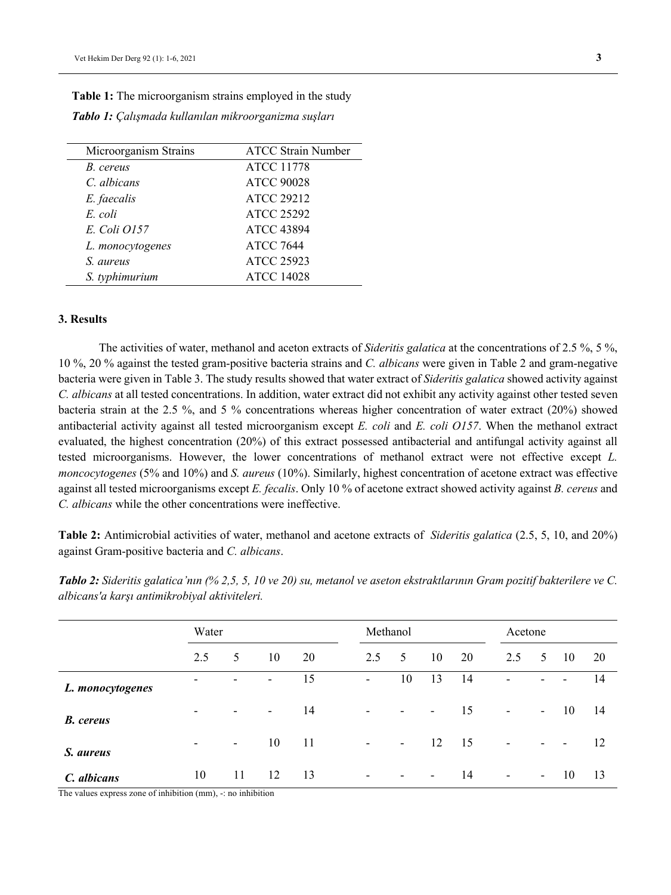| Microorganism Strains | <b>ATCC Strain Number</b> |
|-----------------------|---------------------------|
| B. cereus             | <b>ATCC 11778</b>         |
| C. albicans           | <b>ATCC 90028</b>         |
| E. faecalis           | <b>ATCC 29212</b>         |
| E. coli               | <b>ATCC 25292</b>         |
| E. Coli 0157          | <b>ATCC 43894</b>         |
| L. monocytogenes      | <b>ATCC 7644</b>          |
| S. aureus             | <b>ATCC 25923</b>         |
| S. typhimurium        | <b>ATCC 14028</b>         |

**Table 1:** The microorganism strains employed in the study *Tablo 1: Çalışmada kullanılan mikroorganizma suşları*

#### **3. Results**

The activities of water, methanol and aceton extracts of *Sideritis galatica* at the concentrations of 2.5 %, 5 %, 10 %, 20 % against the tested gram-positive bacteria strains and *C. albicans* were given in Table 2 and gram-negative bacteria were given in Table 3. The study results showed that water extract of *Sideritis galatica* showed activity against *C. albicans* at all tested concentrations. In addition, water extract did not exhibit any activity against other tested seven bacteria strain at the 2.5 %, and 5 % concentrations whereas higher concentration of water extract (20%) showed antibacterial activity against all tested microorganism except *E. coli* and *E. coli O157*. When the methanol extract evaluated, the highest concentration (20%) of this extract possessed antibacterial and antifungal activity against all tested microorganisms. However, the lower concentrations of methanol extract were not effective except *L. moncocytogenes* (5% and 10%) and *S. aureus* (10%). Similarly, highest concentration of acetone extract was effective against all tested microorganisms except *E. fecalis*. Only 10 % of acetone extract showed activity against *B. cereus* and *C. albicans* while the other concentrations were ineffective.

**Table 2:** Antimicrobial activities of water, methanol and acetone extracts of *Sideritis galatica* (2.5, 5, 10, and 20%) against Gram-positive bacteria and *C. albicans*.

|                  | Water                    |             |        |    | Methanol                 |                          |                          |    | Acetone                  |                 |                          |     |
|------------------|--------------------------|-------------|--------|----|--------------------------|--------------------------|--------------------------|----|--------------------------|-----------------|--------------------------|-----|
|                  | 2.5                      | $5^{\circ}$ | 10     | 20 | 2.5                      | $5^{\circ}$              | 10                       | 20 | 2.5                      | $5\overline{)}$ | -10                      | 20  |
| L. monocytogenes | ٠                        | -           | ۰      | 15 | $\sim$                   | 10                       | 13                       | 14 | ٠                        | ٠               | $\overline{\phantom{a}}$ | 14  |
| <b>B.</b> cereus | ٠                        | ٠           | $\sim$ | 14 | -                        | ۰                        | $\overline{\phantom{a}}$ | 15 | $\overline{\phantom{a}}$ | $\sim$          | - 10                     | 14  |
| S. aureus        | $\overline{\phantom{a}}$ | $\sim$      | 10     | 11 | $\overline{\phantom{a}}$ | $\sim$                   | 12                       | 15 | $\overline{\phantom{a}}$ | ٠               | $\overline{\phantom{a}}$ | 12  |
| C. albicans      | 10                       | 11          | 12     | 13 | $\overline{\phantom{a}}$ | $\overline{\phantom{a}}$ | ۰.                       | 14 | $\overline{\phantom{a}}$ | $\sim$          | - 10                     | -13 |

*Tablo 2: Sideritis galatica'nın (% 2,5, 5, 10 ve 20) su, metanol ve aseton ekstraktlarının Gram pozitif bakterilere ve C. albicans'a karşı antimikrobiyal aktiviteleri.*

The values express zone of inhibition (mm), -: no inhibition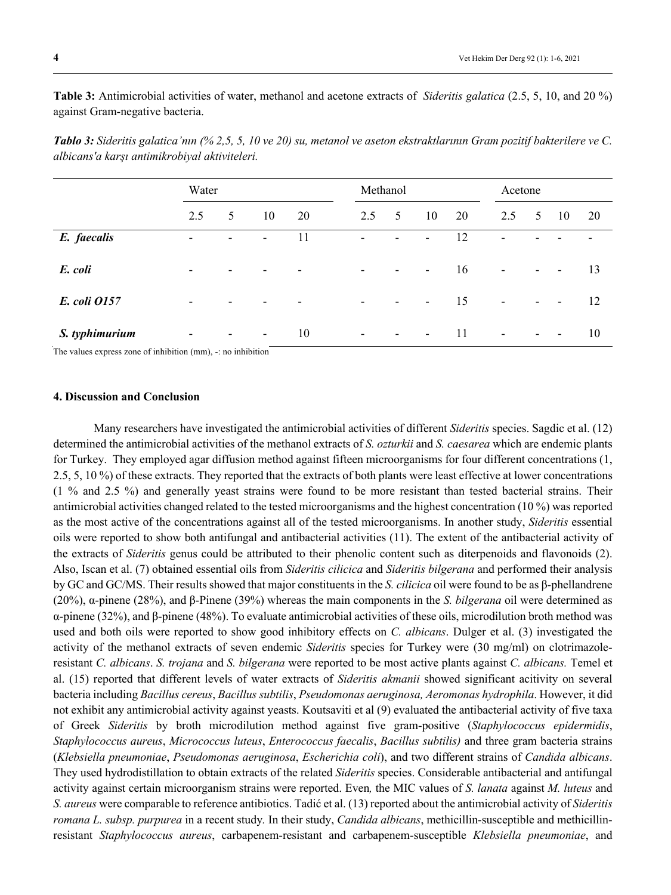**Table 3:** Antimicrobial activities of water, methanol and acetone extracts of *Sideritis galatica* (2.5, 5, 10, and 20 %) against Gram-negative bacteria.

|                | Water                    |                          |                          |    | Methanol                 |                          |                          |    | Acetone                  |                          |                          |    |
|----------------|--------------------------|--------------------------|--------------------------|----|--------------------------|--------------------------|--------------------------|----|--------------------------|--------------------------|--------------------------|----|
|                | 2.5                      | 5                        | 10                       | 20 | 2.5                      | $5\overline{)}$          | 10                       | 20 | 2.5                      | 5 <sup>5</sup>           | 10                       | 20 |
| E. faecalis    | ٠                        | ٠                        | $\overline{\phantom{a}}$ | 11 | ٠                        | -                        | $\overline{\phantom{a}}$ | 12 | $\blacksquare$           |                          |                          |    |
| E. coli        | $\overline{\phantom{0}}$ | $\overline{\phantom{a}}$ | $\overline{\phantom{0}}$ |    | $\overline{\phantom{a}}$ | $\overline{\phantom{a}}$ | $\sim$                   | 16 | $\overline{\phantom{a}}$ | $\sim$                   | $\sim$                   | 13 |
| E. coli 0157   | ۰                        | $\overline{\phantom{a}}$ | ٠                        |    | $\overline{\phantom{a}}$ | $\sim$                   | $\sim$                   | 15 | $\blacksquare$           | $\overline{\phantom{a}}$ | $\overline{\phantom{a}}$ | 12 |
| S. typhimurium | ٠                        | $\overline{\phantom{a}}$ | $\overline{\phantom{a}}$ | 10 | $\overline{\phantom{a}}$ | $\overline{\phantom{a}}$ | $\sim$                   | 11 | $\overline{\phantom{a}}$ | $\overline{\phantom{a}}$ | $\overline{\phantom{a}}$ | 10 |

*Tablo 3: Sideritis galatica'nın (% 2,5, 5, 10 ve 20) su, metanol ve aseton ekstraktlarının Gram pozitif bakterilere ve C. albicans'a karşı antimikrobiyal aktiviteleri.*

The values express zone of inhibition (mm), -: no inhibition

## **4. Discussion and Conclusion**

Many researchers have investigated the antimicrobial activities of different *Sideritis* species. Sagdic et al. (12) determined the antimicrobial activities of the methanol extracts of *S. ozturkii* and *S. caesarea* which are endemic plants for Turkey. They employed agar diffusion method against fifteen microorganisms for four different concentrations (1, 2.5, 5, 10 %) of these extracts. They reported that the extracts of both plants were least effective at lower concentrations (1 % and 2.5 %) and generally yeast strains were found to be more resistant than tested bacterial strains. Their antimicrobial activities changed related to the tested microorganisms and the highest concentration (10 %) was reported as the most active of the concentrations against all of the tested microorganisms. In another study, *Sideritis* essential oils were reported to show both antifungal and antibacterial activities (11). The extent of the antibacterial activity of the extracts of *Sideritis* genus could be attributed to their phenolic content such as diterpenoids and flavonoids (2). Also, Iscan et al. (7) obtained essential oils from *Sideritis cilicica* and *Sideritis bilgerana* and performed their analysis by GC and GC/MS. Their results showed that major constituents in the *S. cilicica* oil were found to be as β-phellandrene (20%), α-pinene (28%), and β-Pinene (39%) whereas the main components in the *S. bilgerana* oil were determined as α-pinene (32%), and β-pinene (48%). To evaluate antimicrobial activities of these oils, microdilution broth method was used and both oils were reported to show good inhibitory effects on *C. albicans*. Dulger et al. (3) investigated the activity of the methanol extracts of seven endemic *Sideritis* species for Turkey were (30 mg/ml) on clotrimazoleresistant *C. albicans*. *S. trojana* and *S. bilgerana* were reported to be most active plants against *C. albicans.* Temel et al. (15) reported that different levels of water extracts of *Sideritis akmanii* showed significant acitivity on several bacteria including *Bacillus cereus*, *Bacillus subtilis*, *Pseudomonas aeruginosa, Aeromonas hydrophila*. However, it did not exhibit any antimicrobial activity against yeasts. Koutsaviti et al (9) evaluated the antibacterial activity of five taxa of Greek *Sideritis* by broth microdilution method against five gram-positive (*Staphylococcus epidermidis*, *Staphylococcus aureus*, *Micrococcus luteus*, *Еnterococcus faecalis*, *Bacillus subtilis)* and three gram bacteria strains (*Klebsiella pneumoniae*, *Pseudomonas aeruginosa*, *Escherichia coli*), and two different strains of *Candida albicans*. They used hydrodistillation to obtain extracts of the related *Sideritis* species. Considerable antibacterial and antifungal activity against certain microorganism strains were reported. Even*,* the MIC values of *S. lanata* against *M. luteus* and *S. aureus* were comparable to reference antibiotics. Tadić et al. (13) reported about the antimicrobial activity of *Sideritis romana L. subsp. purpurea* in a recent study*.* In their study, *Candida albicans*, methicillin-susceptible and methicillinresistant *Staphylococcus aureus*, carbapenem-resistant and carbapenem-susceptible *Klebsiella pneumoniae*, and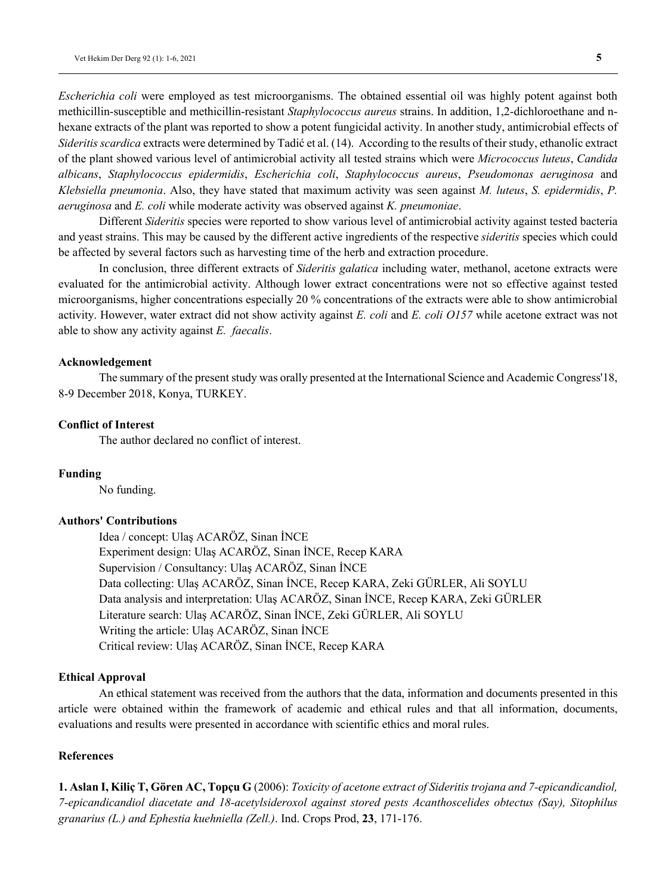*Escherichia coli* were employed as test microorganisms. The obtained essential oil was highly potent against both methicillin-susceptible and methicillin-resistant *Staphylococcus aureus* strains. In addition, 1,2-dichloroethane and nhexane extracts of the plant was reported to show a potent fungicidal activity. In another study, antimicrobial effects of *Sideritis scardica* extracts were determined by Tadić et al. (14). According to the results of their study, ethanolic extract of the plant showed various level of antimicrobial activity all tested strains which were *Micrococcus luteus*, *Candida albicans*, *Staphylococcus epidermidis*, *Escherichia coli*, *Staphylococcus aureus*, *Pseudomonas aeruginosa* and *Klebsiella pneumonia*. Also, they have stated that maximum activity was seen against *M. luteus*, *S. epidermidis*, *P. aeruginosa* and *E. coli* while moderate activity was observed against *K. pneumoniae*.

Different *Sideritis* species were reported to show various level of antimicrobial activity against tested bacteria and yeast strains. This may be caused by the different active ingredients of the respective *sideritis* species which could be affected by several factors such as harvesting time of the herb and extraction procedure.

In conclusion, three different extracts of *Sideritis galatica* including water, methanol, acetone extracts were evaluated for the antimicrobial activity. Although lower extract concentrations were not so effective against tested microorganisms, higher concentrations especially 20 % concentrations of the extracts were able to show antimicrobial activity. However, water extract did not show activity against *E. coli* and *E. coli O157* while acetone extract was not able to show any activity against *E. faecalis*.

## **Acknowledgement**

The summary of the present study was orally presented at the International Science and Academic Congress'18, 8-9 December 2018, Konya, TURKEY.

# **Conflict of Interest**

The author declared no conflict of interest.

#### **Funding**

No funding.

#### **Authors' Contributions**

Idea / concept: Ulaş ACARÖZ, Sinan İNCE Experiment design: Ulaş ACARÖZ, Sinan İNCE, Recep KARA Supervision / Consultancy: Ulaş ACARÖZ, Sinan İNCE Data collecting: Ulaş ACARÖZ, Sinan İNCE, Recep KARA, Zeki GÜRLER, Ali SOYLU Data analysis and interpretation: Ulaş ACARÖZ, Sinan İNCE, Recep KARA, Zeki GÜRLER Literature search: Ulaş ACARÖZ, Sinan İNCE, Zeki GÜRLER, Ali SOYLU Writing the article: Ulaş ACARÖZ, Sinan İNCE Critical review: Ulaş ACARÖZ, Sinan İNCE, Recep KARA

#### **Ethical Approval**

An ethical statement was received from the authors that the data, information and documents presented in this article were obtained within the framework of academic and ethical rules and that all information, documents, evaluations and results were presented in accordance with scientific ethics and moral rules.

# **References**

**1. Aslan I, Kiliç T, Gören AC, Topçu G** (2006): *Toxicity of acetone extract of Sideritis trojana and 7-epicandicandiol, 7-epicandicandiol diacetate and 18-acetylsideroxol against stored pests Acanthoscelides obtectus (Say), Sitophilus granarius (L.) and Ephestia kuehniella (Zell.)*. Ind. Crops Prod, **23**, 171-176.